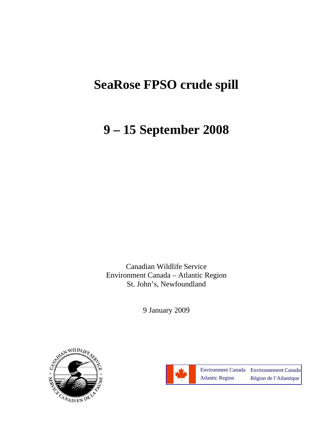# **SeaRose FPSO crude spill**

# **9 – 15 September 2008**

Canadian Wildlife Service Environment Canada – Atlantic Region St. John's, Newfoundland

9 January 2009



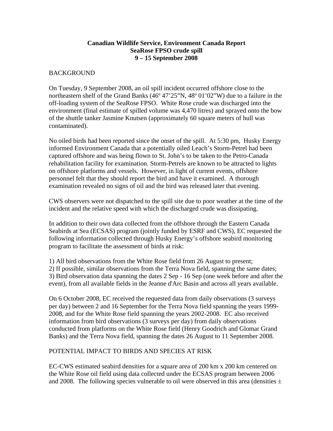## **Canadian Wildlife Service, Environment Canada Report SeaRose FPSO crude spill 9 – 15 September 2008**

### **BACKGROUND**

On Tuesday, 9 September 2008, an oil spill incident occurred offshore close to the northeastern shelf of the Grand Banks (46° 47'25"N, 48° 01'02"W) due to a failure in the off-loading system of the SeaRose FPSO. White Rose crude was discharged into the environment (final estimate of spilled volume was 4,470 litres) and sprayed onto the bow of the shuttle tanker Jasmine Knutsen (approximately 60 square meters of hull was contaminated).

No oiled birds had been reported since the onset of the spill. At 5:30 pm, Husky Energy informed Environment Canada that a potentially oiled Leach's Storm-Petrel had been captured offshore and was being flown to St. John's to be taken to the Petro-Canada rehabilitation facility for examination. Storm-Petrels are known to be attracted to lights on offshore platforms and vessels. However, in light of current events, offshore personnel felt that they should report the bird and have it examined. A thorough examination revealed no signs of oil and the bird was released later that evening.

CWS observers were not dispatched to the spill site due to poor weather at the time of the incident and the relative speed with which the discharged crude was dissipating.

In addition to their own data collected from the offshore through the Eastern Canada Seabirds at Sea (ECSAS) program (jointly funded by ESRF and CWS), EC requested the following information collected through Husky Energy's offshore seabird monitoring program to facilitate the assessment of birds at risk:

1) All bird observations from the White Rose field from 26 August to present; 2) If possible, similar observations from the Terra Nova field, spanning the same dates; 3) Bird observation data spanning the dates 2 Sep - 16 Sep (one week before and after the event), from all available fields in the Jeanne d'Arc Basin and across all years available.

On 6 October 2008, EC received the requested data from daily observations (3 surveys per day) between 2 and 16 September for the Terra Nova field spanning the years 1999- 2008, and for the White Rose field spanning the years 2002-2008. EC also received information from bird observations (3 surveys per day) from daily observations conducted from platforms on the White Rose field (Henry Goodrich and Glomar Grand Banks) and the Terra Nova field, spanning the dates 26 August to 11 September 2008.

### POTENTIAL IMPACT TO BIRDS AND SPECIES AT RISK

EC-CWS estimated seabird densities for a square area of 200 km x 200 km centered on the White Rose oil field using data collected under the ECSAS program between 2006 and 2008. The following species vulnerable to oil were observed in this area (densities  $\pm$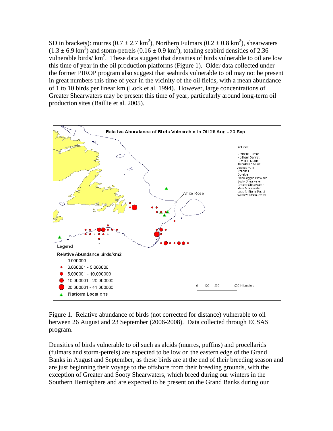SD in brackets): murres ( $0.7 \pm 2.7 \text{ km}^2$ ), Northern Fulmars ( $0.2 \pm 0.8 \text{ km}^2$ ), shearwaters  $(1.3 \pm 6.9 \text{ km}^2)$  and storm-petrels  $(0.16 \pm 0.9 \text{ km}^2)$ , totaling seabird densities of 2.36 vulnerable birds/ km<sup>2</sup>. These data suggest that densities of birds vulnerable to oil are low this time of year in the oil production platforms (Figure 1). Older data collected under the former PIROP program also suggest that seabirds vulnerable to oil may not be present in great numbers this time of year in the vicinity of the oil fields, with a mean abundance of 1 to 10 birds per linear km (Lock et al. 1994). However, large concentrations of Greater Shearwaters may be present this time of year, particularly around long-term oil production sites (Baillie et al. 2005).



Figure 1. Relative abundance of birds (not corrected for distance) vulnerable to oil between 26 August and 23 September (2006-2008). Data collected through ECSAS program.

Densities of birds vulnerable to oil such as alcids (murres, puffins) and procellarids (fulmars and storm-petrels) are expected to be low on the eastern edge of the Grand Banks in August and September, as these birds are at the end of their breeding season and are just beginning their voyage to the offshore from their breeding grounds, with the exception of Greater and Sooty Shearwaters, which breed during our winters in the Southern Hemisphere and are expected to be present on the Grand Banks during our